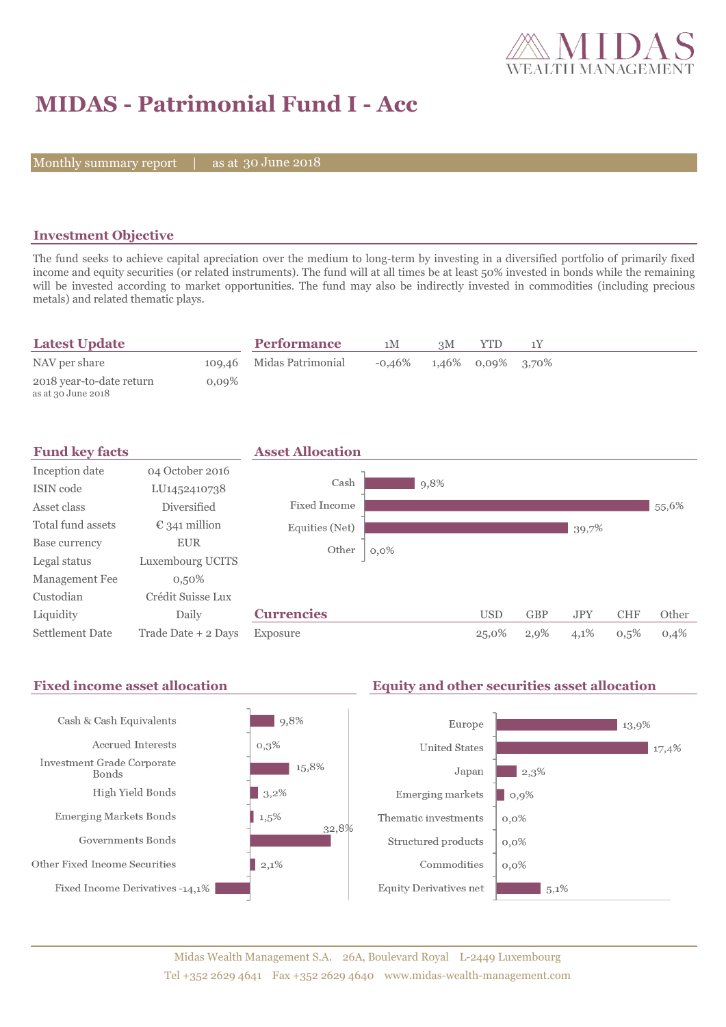

# **MIDAS - Patrimonial Fund I - Acc**

Monthly summary report | as at 30 June 2018

## **Investment Objective**

The fund seeks to achieve capital apreciation over the medium to long-term by investing in a diversified portfolio of primarily fixed income and equity securities (or related instruments). The fund will at all times be at least 50% invested in bonds while the remaining will be invested according to market opportunities. The fund may also be indirectly invested in commodities (including precious metals) and related thematic plays.

| <b>Latest Update</b>     |          | <b>Performance</b>       | 1M                                   | 3M | <b>YTD</b> |  |
|--------------------------|----------|--------------------------|--------------------------------------|----|------------|--|
| NAV per share            |          | 109,46 Midas Patrimonial | $-0.46\%$ $1.46\%$ $0.09\%$ $3.70\%$ |    |            |  |
| 2018 year-to-date return | $0.09\%$ |                          |                                      |    |            |  |
| as at 30 June 2018       |          |                          |                                      |    |            |  |



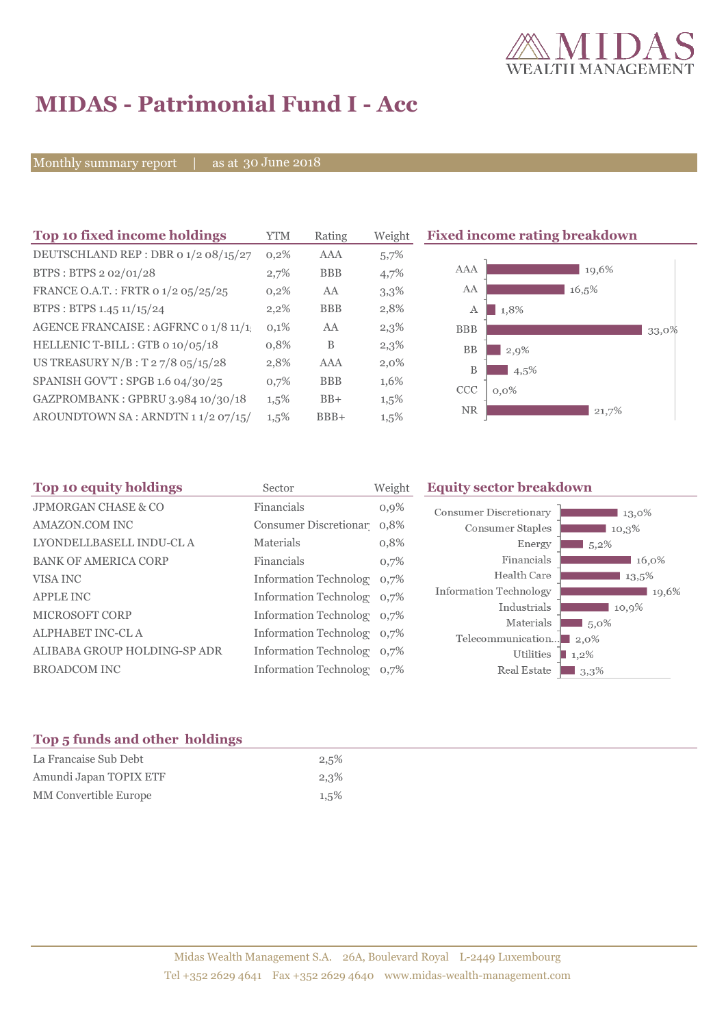

# **MIDAS - Patrimonial Fund I - Acc**

Monthly summary report | as at 30 June 2018

| Top 10 fixed income holdings         | <b>YTM</b> | Rating     | Weigh   |
|--------------------------------------|------------|------------|---------|
| DEUTSCHLAND REP : DBR o 1/2 08/15/27 | 0,2%       | AAA        | 5,7%    |
| BTPS: BTPS 2 02/01/28                | 2,7%       | <b>BBB</b> | 4,7%    |
| FRANCE O.A.T.: FRTR o 1/2 05/25/25   | 0,2%       | AA         | 3,3%    |
| BTPS: BTPS 1.45 11/15/24             | 2,2%       | <b>BBB</b> | 2,8%    |
| AGENCE FRANCAISE : AGFRNC 0 1/8 11/1 | 0,1%       | AA         | 2,3%    |
| HELLENIC T-BILL: GTB 0 10/05/18      | 0,8%       | B          | 2,3%    |
| US TREASURY $N/B$ : T 2 7/8 05/15/28 | 2,8%       | AAA        | 2,0%    |
| SPANISH GOV'T: SPGB 1.6 04/30/25     | 0,7%       | <b>BBB</b> | 1,6%    |
| GAZPROMBANK: GPBRU 3.984 10/30/18    | 1,5%       | $BB+$      | 1,5%    |
| AROUNDTOWN SA: ARNDTN 11/2 07/15/    | 1,5%       | $BBB+$     | $1,5\%$ |

### **The 10 fixed income rating breakdown**



| Top 10 equity holdings         | Sector                     | Weight  | <b>Equity sector breakdown</b> |                             |
|--------------------------------|----------------------------|---------|--------------------------------|-----------------------------|
| <b>JPMORGAN CHASE &amp; CO</b> | Financials                 | $0,9\%$ | <b>Consumer Discretionary</b>  | 13,0%                       |
| AMAZON.COM INC                 | Consumer Discretionar 0,8% |         | Consumer Staples               | 10,3%                       |
| LYONDELLBASELL INDU-CL A       | Materials                  | 0,8%    | Energy                         | $1,5,2\%$                   |
| <b>BANK OF AMERICA CORP</b>    | Financials                 | 0,7%    | Financials                     | 16,0%                       |
| VISA INC                       | Information Technolog 0,7% |         | Health Care                    | 13,5%                       |
| <b>APPLE INC</b>               | Information Technolog 0,7% |         | Information Technology         | 19,6%                       |
| MICROSOFT CORP                 | Information Technolog 0,7% |         | Industrials                    | 10,9%                       |
| <b>ALPHABET INC-CL A</b>       | Information Technolog 0,7% |         | Materials<br>Telecommunication | 5,0%<br>$\blacksquare$ 2.0% |
| ALIBABA GROUP HOLDING-SP ADR   | Information Technolog 0,7% |         | Utilities                      | $1,2\%$                     |
| <b>BROADCOM INC</b>            | Information Technolog 0,7% |         | Real Estate                    | 3,3%                        |
|                                |                            |         |                                |                             |

#### **Top 5 funds and other holdings**

| La Francaise Sub Debt  | 2,5%    |
|------------------------|---------|
| Amundi Japan TOPIX ETF | $2,3\%$ |
| MM Convertible Europe  | 1,5%    |